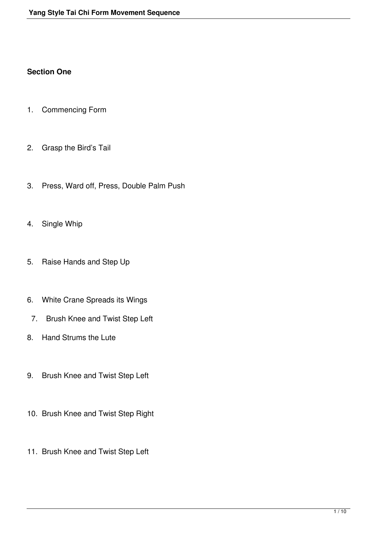## **Section One**

- 1. Commencing Form
- 2. Grasp the Bird's Tail
- 3. Press, Ward off, Press, Double Palm Push
- 4. Single Whip
- 5. Raise Hands and Step Up
- 6. White Crane Spreads its Wings
	- 7. Brush Knee and Twist Step Left
- 8. Hand Strums the Lute
- 9. Brush Knee and Twist Step Left
- 10. Brush Knee and Twist Step Right
- 11. Brush Knee and Twist Step Left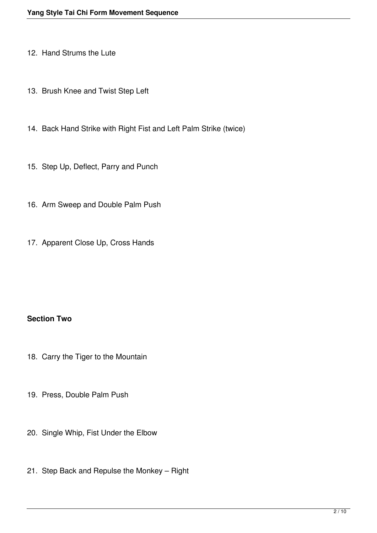- 12. Hand Strums the Lute
- 13. Brush Knee and Twist Step Left
- 14. Back Hand Strike with Right Fist and Left Palm Strike (twice)
- 15. Step Up, Deflect, Parry and Punch
- 16. Arm Sweep and Double Palm Push
- 17. Apparent Close Up, Cross Hands

## **Section Two**

- 18. Carry the Tiger to the Mountain
- 19. Press, Double Palm Push
- 20. Single Whip, Fist Under the Elbow
- 21. Step Back and Repulse the Monkey Right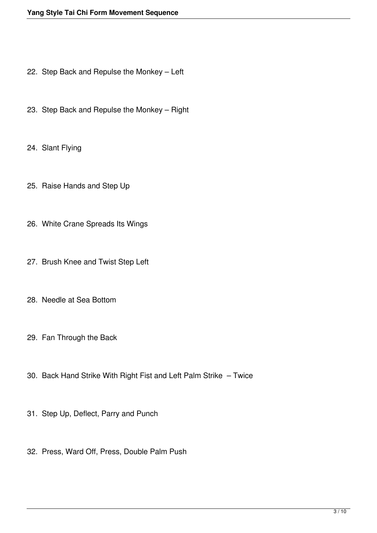- 22. Step Back and Repulse the Monkey Left
- 23. Step Back and Repulse the Monkey Right
- 24. Slant Flying
- 25. Raise Hands and Step Up
- 26. White Crane Spreads Its Wings
- 27. Brush Knee and Twist Step Left
- 28. Needle at Sea Bottom
- 29. Fan Through the Back
- 30. Back Hand Strike With Right Fist and Left Palm Strike Twice
- 31. Step Up, Deflect, Parry and Punch
- 32. Press, Ward Off, Press, Double Palm Push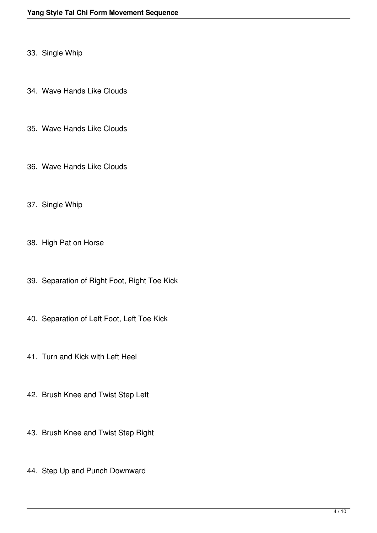- 33. Single Whip
- 34. Wave Hands Like Clouds
- 35. Wave Hands Like Clouds
- 36. Wave Hands Like Clouds
- 37. Single Whip
- 38. High Pat on Horse
- 39. Separation of Right Foot, Right Toe Kick
- 40. Separation of Left Foot, Left Toe Kick
- 41. Turn and Kick with Left Heel
- 42. Brush Knee and Twist Step Left
- 43. Brush Knee and Twist Step Right
- 44. Step Up and Punch Downward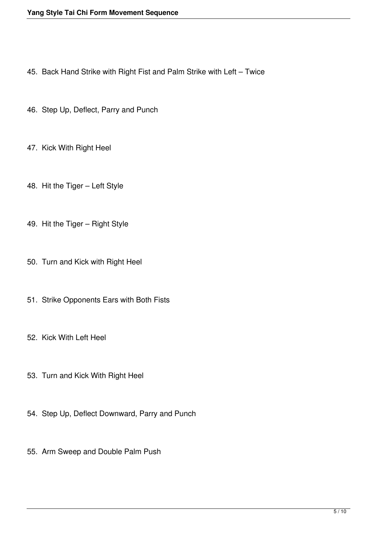- 45. Back Hand Strike with Right Fist and Palm Strike with Left Twice
- 46. Step Up, Deflect, Parry and Punch
- 47. Kick With Right Heel
- 48. Hit the Tiger Left Style
- 49. Hit the Tiger Right Style
- 50. Turn and Kick with Right Heel
- 51. Strike Opponents Ears with Both Fists
- 52. Kick With Left Heel
- 53. Turn and Kick With Right Heel
- 54. Step Up, Deflect Downward, Parry and Punch
- 55. Arm Sweep and Double Palm Push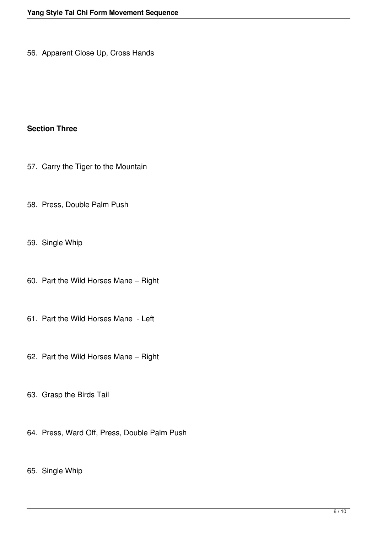56. Apparent Close Up, Cross Hands

## **Section Three**

- 57. Carry the Tiger to the Mountain
- 58. Press, Double Palm Push
- 59. Single Whip
- 60. Part the Wild Horses Mane Right
- 61. Part the Wild Horses Mane Left
- 62. Part the Wild Horses Mane Right
- 63. Grasp the Birds Tail
- 64. Press, Ward Off, Press, Double Palm Push
- 65. Single Whip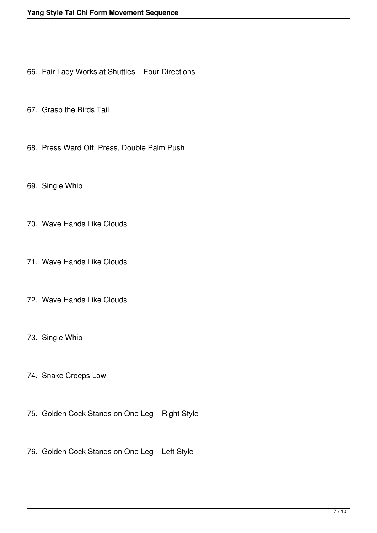- 66. Fair Lady Works at Shuttles Four Directions
- 67. Grasp the Birds Tail
- 68. Press Ward Off, Press, Double Palm Push
- 69. Single Whip
- 70. Wave Hands Like Clouds
- 71. Wave Hands Like Clouds
- 72. Wave Hands Like Clouds
- 73. Single Whip
- 74. Snake Creeps Low
- 75. Golden Cock Stands on One Leg Right Style
- 76. Golden Cock Stands on One Leg Left Style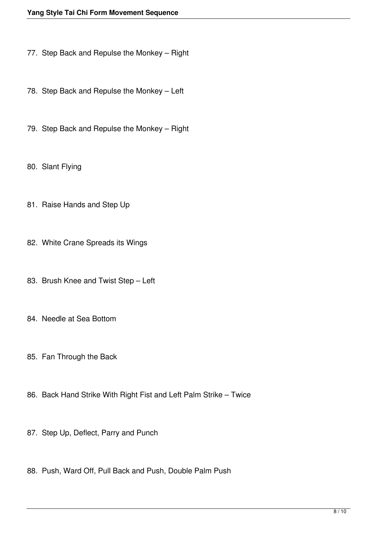- 77. Step Back and Repulse the Monkey Right
- 78. Step Back and Repulse the Monkey Left
- 79. Step Back and Repulse the Monkey Right
- 80. Slant Flying
- 81. Raise Hands and Step Up
- 82. White Crane Spreads its Wings
- 83. Brush Knee and Twist Step Left
- 84. Needle at Sea Bottom
- 85. Fan Through the Back
- 86. Back Hand Strike With Right Fist and Left Palm Strike Twice
- 87. Step Up, Deflect, Parry and Punch
- 88. Push, Ward Off, Pull Back and Push, Double Palm Push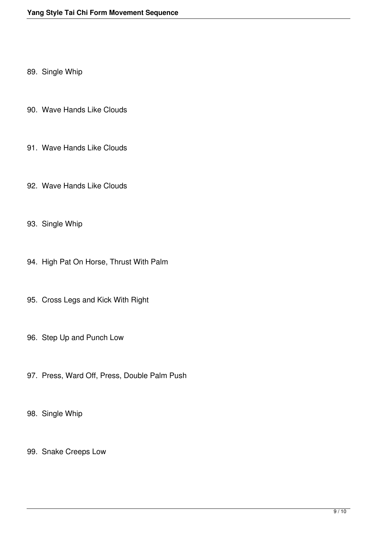89. Single Whip

- 90. Wave Hands Like Clouds
- 91. Wave Hands Like Clouds
- 92. Wave Hands Like Clouds
- 93. Single Whip
- 94. High Pat On Horse, Thrust With Palm
- 95. Cross Legs and Kick With Right
- 96. Step Up and Punch Low
- 97. Press, Ward Off, Press, Double Palm Push
- 98. Single Whip
- 99. Snake Creeps Low